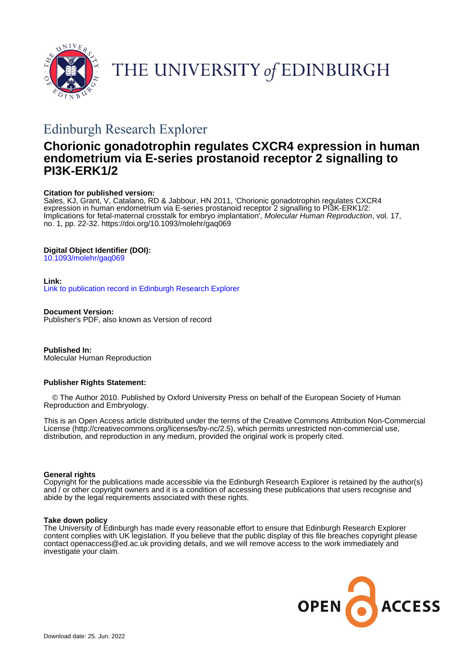

THE UNIVERSITY of EDINBURGH

# Edinburgh Research Explorer

# **Chorionic gonadotrophin regulates CXCR4 expression in human endometrium via E-series prostanoid receptor 2 signalling to PI3K-ERK1/2**

#### **Citation for published version:**

Sales, KJ, Grant, V, Catalano, RD & Jabbour, HN 2011, 'Chorionic gonadotrophin regulates CXCR4 expression in human endometrium via E-series prostanoid receptor 2 signalling to PI3K-ERK1/2: Implications for fetal-maternal crosstalk for embryo implantation<sup>'</sup>, Molecular Human Reproduction, vol. 17, no. 1, pp. 22-32. <https://doi.org/10.1093/molehr/gaq069>

### **Digital Object Identifier (DOI):**

[10.1093/molehr/gaq069](https://doi.org/10.1093/molehr/gaq069)

#### **Link:**

[Link to publication record in Edinburgh Research Explorer](https://www.research.ed.ac.uk/en/publications/b9d5d4bb-4c76-4a70-9f68-1ab008e0ec72)

**Document Version:** Publisher's PDF, also known as Version of record

**Published In:** Molecular Human Reproduction

### **Publisher Rights Statement:**

 © The Author 2010. Published by Oxford University Press on behalf of the European Society of Human Reproduction and Embryology.

This is an Open Access article distributed under the terms of the Creative Commons Attribution Non-Commercial License (http://creativecommons.org/licenses/by-nc/2.5), which permits unrestricted non-commercial use, distribution, and reproduction in any medium, provided the original work is properly cited.

#### **General rights**

Copyright for the publications made accessible via the Edinburgh Research Explorer is retained by the author(s) and / or other copyright owners and it is a condition of accessing these publications that users recognise and abide by the legal requirements associated with these rights.

#### **Take down policy**

The University of Edinburgh has made every reasonable effort to ensure that Edinburgh Research Explorer content complies with UK legislation. If you believe that the public display of this file breaches copyright please contact openaccess@ed.ac.uk providing details, and we will remove access to the work immediately and investigate your claim.

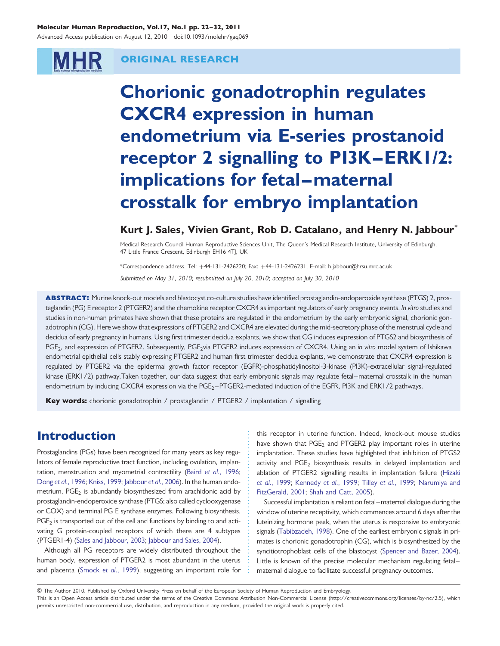#### Molecular Human Reproduction, Vol.17, No.1 pp. 22–32, 2011

Advanced Access publication on August 12, 2010 doi:10.1093/molehr/gaq069

# **MHR**

### ORIGINAL RESEARCH

Chorionic gonadotrophin regulates CXCR4 expression in human endometrium via E-series prostanoid receptor 2 signalling to PI3K –ERK1/2: implications for fetal-maternal crosstalk for embryo implantation

### Kurt J. Sales, Vivien Grant, Rob D. Catalano, and Henry N. Jabbour<sup>\*</sup>

Medical Research Council Human Reproductive Sciences Unit, The Queen's Medical Research Institute, University of Edinburgh, 47 Little France Crescent, Edinburgh EH16 4TJ, UK

\*Correspondence address. Tel: +44-131-2426220; Fax: +44-131-2426231; E-mail: h.jabbour@hrsu.mrc.ac.uk Submitted on May 31, 2010; resubmitted on July 20, 2010; accepted on July 30, 2010

ABSTRACT: Murine knock-out models and blastocyst co-culture studies have identified prostaglandin-endoperoxide synthase (PTGS) 2, prostaglandin (PG) E receptor 2 (PTGER2) and the chemokine receptor CXCR4 as important regulators of early pregnancy events. In vitro studies and studies in non-human primates have shown that these proteins are regulated in the endometrium by the early embryonic signal, chorionic gonadotrophin (CG). Here we show that expressions of PTGER2 and CXCR4 are elevated during the mid-secretory phase of the menstrual cycle and decidua of early pregnancy in humans. Using first trimester decidua explants, we show that CG induces expression of PTGS2 and biosynthesis of PGE<sub>2</sub>, and expression of PTGER2. Subsequently, PGE<sub>2</sub>via PTGER2 induces expression of CXCR4. Using an in vitro model system of Ishikawa endometrial epithelial cells stably expressing PTGER2 and human first trimester decidua explants, we demonstrate that CXCR4 expression is regulated by PTGER2 via the epidermal growth factor receptor (EGFR)-phosphatidylinositol-3-kinase (PI3K)-extracellular signal-regulated kinase (ERK1/2) pathway.Taken together, our data suggest that early embryonic signals may regulate fetal–maternal crosstalk in the human endometrium by inducing CXCR4 expression via the PGE<sub>2</sub>-PTGER2-mediated induction of the EGFR, PI3K and ERK1/2 pathways.

Key words: chorionic gonadotrophin / prostaglandin / PTGER2 / implantation / signalling

# Introduction

Prostaglandins (PGs) have been recognized for many years as key regulators of female reproductive tract function, including ovulation, implantation, menstruation and myometrial contractility (Baird et al[., 1996;](#page-9-0) Dong et al[., 1996;](#page-9-0) [Kniss, 1999](#page-10-0); [Jabbour](#page-10-0) et al., 2006). In the human endometrium,  $PGE_2$  is abundantly biosynthesized from arachidonic acid by prostaglandin-endoperoxide synthase (PTGS; also called cyclooxygenase or COX) and terminal PG E synthase enzymes. Following biosynthesis,  $PGE<sub>2</sub>$  is transported out of the cell and functions by binding to and activating G protein-coupled receptors of which there are 4 subtypes (PTGER1-4) ([Sales and Jabbour, 2003;](#page-10-0) [Jabbour and Sales, 2004](#page-10-0)).

Although all PG receptors are widely distributed throughout the human body, expression of PTGER2 is most abundant in the uterus and placenta (Smock et al[., 1999\)](#page-10-0), suggesting an important role for this receptor in uterine function. Indeed, knock-out mouse studies have shown that  $PGE<sub>2</sub>$  and  $PTGER2$  play important roles in uterine implantation. These studies have highlighted that inhibition of PTGS2 activity and PGE<sub>2</sub> biosynthesis results in delayed implantation and ablation of PTGER2 signalling results in implantation failure [\(Hizaki](#page-10-0) et al[., 1999](#page-10-0); [Kennedy](#page-10-0) et al., 1999; Tilley et al[., 1999](#page-10-0); [Narumiya and](#page-10-0) [FitzGerald, 2001](#page-10-0); [Shah and Catt, 2005\)](#page-10-0).

Successful implantation is reliant on fetal–maternal dialogue during the window of uterine receptivity, which commences around 6 days after the luteinizing hormone peak, when the uterus is responsive to embryonic signals ([Tabibzadeh, 1998](#page-10-0)). One of the earliest embryonic signals in primates is chorionic gonadotrophin (CG), which is biosynthesized by the syncitiotrophoblast cells of the blastocyst ([Spencer and Bazer, 2004](#page-10-0)). Little is known of the precise molecular mechanism regulating fetal– maternal dialogue to facilitate successful pregnancy outcomes.

<sup>&</sup>amp; The Author 2010. Published by Oxford University Press on behalf of the European Society of Human Reproduction and Embryology.

This is an Open Access article distributed under the terms of the Creative Commons Attribution Non-Commercial License (http://creativecommons.org/licenses/by-nc/2.5), which permits unrestricted non-commercial use, distribution, and reproduction in any medium, provided the original work is properly cited.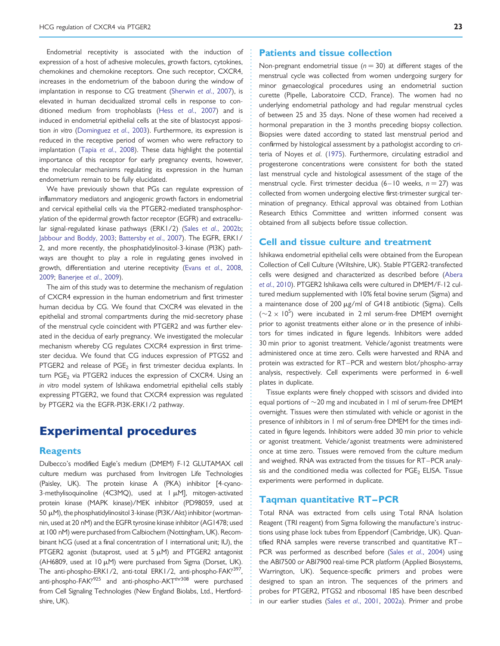Endometrial receptivity is associated with the induction of expression of a host of adhesive molecules, growth factors, cytokines, chemokines and chemokine receptors. One such receptor, CXCR4, increases in the endometrium of the baboon during the window of implantation in response to CG treatment [\(Sherwin](#page-10-0) et al., 2007), is elevated in human decidualized stromal cells in response to conditioned medium from trophoblasts (Hess et al[., 2007\)](#page-10-0) and is induced in endometrial epithelial cells at the site of blastocyst apposition in vitro ([Dominguez](#page-9-0) et al., 2003). Furthermore, its expression is reduced in the receptive period of women who were refractory to implantation (Tapia et al[., 2008\)](#page-10-0). These data highlight the potential importance of this receptor for early pregnancy events, however, the molecular mechanisms regulating its expression in the human endometrium remain to be fully elucidated.

We have previously shown that PGs can regulate expression of inflammatory mediators and angiogenic growth factors in endometrial and cervical epithelial cells via the PTGER2-mediated transphosphorylation of the epidermal growth factor receptor (EGFR) and extracellular signal-regulated kinase pathways (ERK1/2) (Sales et al[., 2002b](#page-10-0); [Jabbour and Boddy, 2003;](#page-10-0) [Battersby](#page-9-0) et al., 2007). The EGFR, ERK1/ 2, and more recently, the phosphatidylinositol-3-kinase (PI3K) pathways are thought to play a role in regulating genes involved in growth, differentiation and uterine receptivity (Evans et al[., 2008](#page-10-0), [2009](#page-10-0); [Banerjee](#page-9-0) et al., 2009).

The aim of this study was to determine the mechanism of regulation of CXCR4 expression in the human endometrium and first trimester human decidua by CG. We found that CXCR4 was elevated in the epithelial and stromal compartments during the mid-secretory phase of the menstrual cycle coincident with PTGER2 and was further elevated in the decidua of early pregnancy. We investigated the molecular mechanism whereby CG regulates CXCR4 expression in first trimester decidua. We found that CG induces expression of PTGS2 and PTGER2 and release of  $PGE<sub>2</sub>$  in first trimester decidua explants. In turn  $PGE<sub>2</sub>$  via PTGER2 induces the expression of CXCR4. Using an in vitro model system of Ishikawa endometrial epithelial cells stably expressing PTGER2, we found that CXCR4 expression was regulated by PTGER2 via the EGFR-PI3K-ERK1/2 pathway.

# Experimental procedures

#### **Reagents**

Dulbecco's modified Eagle's medium (DMEM) F-12 GLUTAMAX cell culture medium was purchased from Invitrogen Life Technologies (Paisley, UK). The protein kinase A (PKA) inhibitor [4-cyano-3-methylisoquinoline (4C3MO), used at 1 µM], mitogen-activated protein kinase (MAPK kinase)/MEK inhibitor (PD98059, used at 50 μM), the phosphatidylinositol 3-kinase (PI3K/Akt) inhibitor (wortmannin, used at 20 nM) and the EGFR tyrosine kinase inhibitor (AG1478; used at 100 nM) were purchased from Calbiochem (Nottingham, UK). Recombinant hCG (used at a final concentration of 1 international unit; IU), the PTGER2 agonist (butaprost, used at  $5 \mu M$ ) and PTGER2 antagonist (AH6809, used at 10  $\mu$ M) were purchased from Sigma (Dorset, UK). The anti-phospho-ERK1/2, anti-total ERK1/2, anti-phospho-FAK<sup>y397</sup>, anti-phospho-FAK<sup>y925</sup> and anti-phospho-AKT<sup>thr308</sup> were purchased from Cell Signaling Technologies (New England Biolabs, Ltd., Hertfordshire, UK).

#### Patients and tissue collection

Non-pregnant endometrial tissue ( $n = 30$ ) at different stages of the menstrual cycle was collected from women undergoing surgery for minor gynaecological procedures using an endometrial suction curette (Pipelle, Laboratoire CCD, France). The women had no underlying endometrial pathology and had regular menstrual cycles of between 25 and 35 days. None of these women had received a hormonal preparation in the 3 months preceding biopsy collection. Biopsies were dated according to stated last menstrual period and confirmed by histological assessment by a pathologist according to criteria of Noyes et al. [\(1975](#page-10-0)). Furthermore, circulating estradiol and progesterone concentrations were consistent for both the stated last menstrual cycle and histological assessment of the stage of the menstrual cycle. First trimester decidua (6-10 weeks,  $n = 27$ ) was collected from women undergoing elective first-trimester surgical termination of pregnancy. Ethical approval was obtained from Lothian Research Ethics Committee and written informed consent was obtained from all subjects before tissue collection.

#### Cell and tissue culture and treatment

Ishikawa endometrial epithelial cells were obtained from the European Collection of Cell Culture (Wiltshire, UK). Stable PTGER2-transfected cells were designed and characterized as described before [\(Abera](#page-9-0) et al[., 2010\)](#page-9-0). PTGER2 Ishikawa cells were cultured in DMEM/F-12 cultured medium supplemented with 10% fetal bovine serum (Sigma) and a maintenance dose of 200 µg/ml of G418 antibiotic (Sigma). Cells  $({\sim}2 \times 10^5)$  were incubated in 2 ml serum-free DMEM overnight prior to agonist treatments either alone or in the presence of inhibitors for times indicated in figure legends. Inhibitors were added 30 min prior to agonist treatment. Vehicle/agonist treatments were administered once at time zero. Cells were harvested and RNA and protein was extracted for RT–PCR and western blot/phospho-array analysis, respectively. Cell experiments were performed in 6-well plates in duplicate.

Tissue explants were finely chopped with scissors and divided into equal portions of  $\sim$  20 mg and incubated in 1 ml of serum-free DMEM overnight. Tissues were then stimulated with vehicle or agonist in the presence of inhibitors in 1 ml of serum-free DMEM for the times indicated in figure legends. Inhibitors were added 30 min prior to vehicle or agonist treatment. Vehicle/agonist treatments were administered once at time zero. Tissues were removed from the culture medium and weighed. RNA was extracted from the tissues for RT –PCR analysis and the conditioned media was collected for  $PGE_2$  ELISA. Tissue experiments were performed in duplicate.

#### Taqman quantitative RT–PCR

Total RNA was extracted from cells using Total RNA Isolation Reagent (TRI reagent) from Sigma following the manufacture's instructions using phase lock tubes from Eppendorf (Cambridge, UK). Quantified RNA samples were reverse transcribed and quantitative RT – PCR was performed as described before (Sales et al[., 2004](#page-10-0)) using the ABI7500 or ABI7900 real-time PCR platform (Applied Biosystems, Warrington, UK). Sequence-specific primers and probes were designed to span an intron. The sequences of the primers and probes for PTGER2, PTGS2 and ribosomal 18S have been described in our earlier studies (Sales et al[., 2001](#page-10-0), [2002a](#page-10-0)). Primer and probe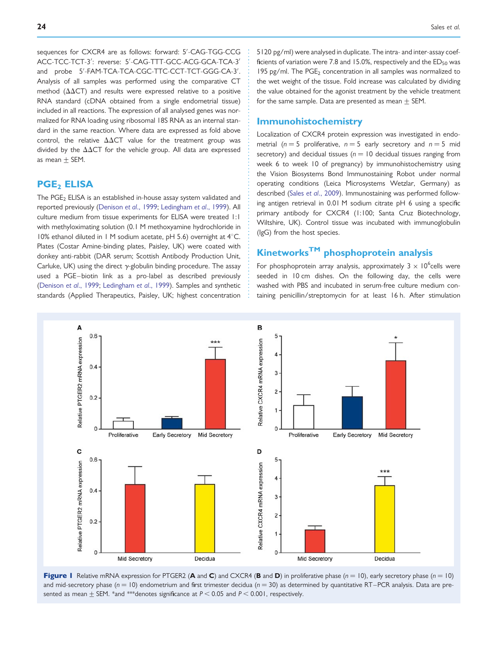<span id="page-3-0"></span>sequences for CXCR4 are as follows: forward: 5′ -CAG-TGG-CCG ACC-TCC-TCT-3′ : reverse: 5′ -CAG-TTT-GCC-ACG-GCA-TCA-3′ and probe 5′ -FAM-TCA-TCA-CGC-TTC-CCT-TCT-GGG-CA-3′ . Analysis of all samples was performed using the comparative CT method ( $\Delta\Delta$ CT) and results were expressed relative to a positive RNA standard (cDNA obtained from a single endometrial tissue) included in all reactions. The expression of all analysed genes was normalized for RNA loading using ribosomal 18S RNA as an internal standard in the same reaction. Where data are expressed as fold above control, the relative  $\Delta\Delta\text{CT}$  value for the treatment group was divided by the  $\Delta\Delta CT$  for the vehicle group. All data are expressed as mean  $\pm$  SEM.

### **PGE<sub>2</sub>** ELISA

The PGE<sub>2</sub> ELISA is an established in-house assay system validated and reported previously ([Denison](#page-9-0) et al., 1999; [Ledingham](#page-10-0) et al., 1999). All culture medium from tissue experiments for ELISA were treated 1:1 with methyloximating solution (0.1 M methoxyamine hydrochloride in 10% ethanol diluted in 1 M sodium acetate, pH 5.6) overnight at  $4^{\circ}$ C. Plates (Costar Amine-binding plates, Paisley, UK) were coated with donkey anti-rabbit (DAR serum; Scottish Antibody Production Unit, Carluke, UK) using the direct  $\gamma$ -globulin binding procedure. The assay used a PGE-biotin link as a pro-label as described previously [\(Denison](#page-9-0) et al., 1999; [Ledingham](#page-10-0) et al., 1999). Samples and synthetic standards (Applied Therapeutics, Paisley, UK; highest concentration

5120 pg/ml) were analysed in duplicate. The intra- and inter-assay coefficients of variation were 7.8 and 15.0%, respectively and the  $ED_{50}$  was 195 pg/ml. The  $PGE_2$  concentration in all samples was normalized to the wet weight of the tissue. Fold increase was calculated by dividing the value obtained for the agonist treatment by the vehicle treatment for the same sample. Data are presented as mean  $+$  SEM.

#### Immunohistochemistry

Localization of CXCR4 protein expression was investigated in endometrial ( $n = 5$  proliferative,  $n = 5$  early secretory and  $n = 5$  mid secretory) and decidual tissues ( $n = 10$  decidual tissues ranging from week 6 to week 10 of pregnancy) by immunohistochemistry using the Vision Biosystems Bond Immunostaining Robot under normal operating conditions (Leica Microsystems Wetzlar, Germany) as described (Sales et al[., 2009\)](#page-10-0). Immunostaining was performed following antigen retrieval in 0.01 M sodium citrate pH 6 using a specific primary antibody for CXCR4 (1:100; Santa Cruz Biotechnology, Wiltshire, UK). Control tissue was incubated with immunoglobulin (IgG) from the host species.

# KinetworksTM phosphoprotein analysis

For phosphoprotein array analysis, approximately  $3 \times 10^6$ cells were seeded in 10 cm dishes. On the following day, the cells were washed with PBS and incubated in serum-free culture medium containing penicillin/streptomycin for at least 16 h. After stimulation



Figure 1 Relative mRNA expression for PTGER2 (A and C) and CXCR4 (B and D) in proliferative phase ( $n = 10$ ), early secretory phase ( $n = 10$ ) and mid-secretory phase ( $n = 10$ ) endometrium and first trimester decidua ( $n = 30$ ) as determined by quantitative RT-PCR analysis. Data are presented as mean  $\pm$  SEM. \*and \*\*\*denotes significance at P < 0.05 and P < 0.001, respectively.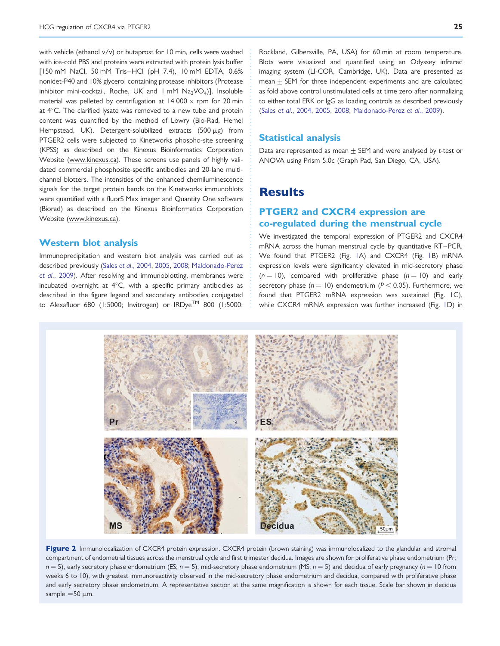<span id="page-4-0"></span>with vehicle (ethanol v/v) or butaprost for 10 min, cells were washed with ice-cold PBS and proteins were extracted with protein lysis buffer [150 mM NaCl, 50 mM Tris–HCl (pH 7.4), 10 mM EDTA, 0.6% nonidet-P40 and 10% glycerol containing protease inhibitors (Protease inhibitor mini-cocktail, Roche, UK and  $1 \text{ mM }$  Na<sub>3</sub>VO<sub>4</sub>)]. Insoluble material was pelleted by centrifugation at  $14000 \times$  rpm for 20 min at  $4^{\circ}$ C. The clarified lysate was removed to a new tube and protein content was quantified by the method of Lowry (Bio-Rad, Hemel Hempstead, UK). Detergent-solubilized extracts  $(500 \mu g)$  from PTGER2 cells were subjected to Kinetworks phospho-site screening (KPSS) as described on the Kinexus Bioinformatics Corporation Website (www.kinexus.ca). These screens use panels of highly validated commercial phosphosite-specific antibodies and 20-lane multichannel blotters. The intensities of the enhanced chemiluminescence signals for the target protein bands on the Kinetworks immunoblots were quantified with a fluorS Max imager and Quantity One software (Biorad) as described on the Kinexus Bioinformatics Corporation Website (www.kinexus.ca).

#### Western blot analysis

Immunoprecipitation and western blot analysis was carried out as described previously (Sales et al[., 2004](#page-10-0), [2005,](#page-10-0) [2008](#page-10-0); [Maldonado-Perez](#page-10-0) et al[., 2009](#page-10-0)). After resolving and immunoblotting, membranes were incubated overnight at  $4^{\circ}$ C, with a specific primary antibodies as described in the figure legend and secondary antibodies conjugated to Alexafluor 680 (1:5000; Invitrogen) or IRDye™ 800 (1:5000; Rockland, Gilbersville, PA, USA) for 60 min at room temperature. Blots were visualized and quantified using an Odyssey infrared imaging system (LI-COR, Cambridge, UK). Data are presented as  $mean + SEM$  for three independent experiments and are calculated as fold above control unstimulated cells at time zero after normalizing to either total ERK or IgG as loading controls as described previously (Sales et al[., 2004](#page-10-0), [2005,](#page-10-0) [2008;](#page-10-0) [Maldonado-Perez](#page-10-0) et al., 2009).

#### Statistical analysis

Data are represented as mean  $\pm$  SEM and were analysed by t-test or ANOVA using Prism 5.0c (Graph Pad, San Diego, CA, USA).

# **Results**

## PTGER2 and CXCR4 expression are co-regulated during the menstrual cycle

We investigated the temporal expression of PTGER2 and CXCR4 mRNA across the human menstrual cycle by quantitative RT –PCR. We found that PTGER2 (Fig. [1A](#page-3-0)) and CXCR4 (Fig. [1](#page-3-0)B) mRNA expression levels were significantly elevated in mid-secretory phase  $(n = 10)$ , compared with proliferative phase  $(n = 10)$  and early secretory phase ( $n = 10$ ) endometrium ( $P < 0.05$ ). Furthermore, we found that PTGER2 mRNA expression was sustained (Fig. [1C](#page-3-0)), while CXCR4 mRNA expression was further increased (Fig. [1D](#page-3-0)) in



Figure 2 Immunolocalization of CXCR4 protein expression. CXCR4 protein (brown staining) was immunolocalized to the glandular and stromal compartment of endometrial tissues across the menstrual cycle and first trimester decidua. Images are shown for proliferative phase endometrium (Pr;  $n = 5$ ), early secretory phase endometrium (ES;  $n = 5$ ), mid-secretory phase endometrium (MS;  $n = 5$ ) and decidua of early pregnancy ( $n = 10$  from weeks 6 to 10), with greatest immunoreactivity observed in the mid-secretory phase endometrium and decidua, compared with proliferative phase and early secretory phase endometrium. A representative section at the same magnification is shown for each tissue. Scale bar shown in decidua sample  $=50 \mu m$ .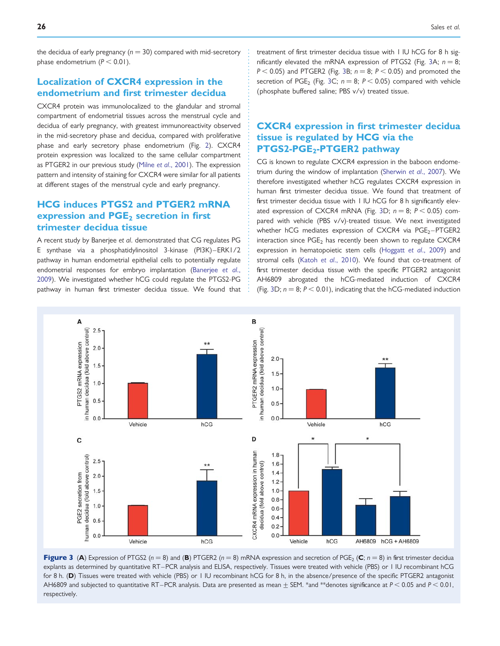the decidua of early pregnancy ( $n = 30$ ) compared with mid-secretory phase endometrium  $(P < 0.01)$ .

# Localization of CXCR4 expression in the endometrium and first trimester decidua

CXCR4 protein was immunolocalized to the glandular and stromal compartment of endometrial tissues across the menstrual cycle and decidua of early pregnancy, with greatest immunoreactivity observed in the mid-secretory phase and decidua, compared with proliferative phase and early secretory phase endometrium (Fig. [2\)](#page-4-0). CXCR4 protein expression was localized to the same cellular compartment as PTGER2 in our previous study (Milne et al[., 2001](#page-10-0)). The expression pattern and intensity of staining for CXCR4 were similar for all patients at different stages of the menstrual cycle and early pregnancy.

# HCG induces PTGS2 and PTGER2 mRNA expression and  $PGE<sub>2</sub>$  secretion in first trimester decidua tissue

A recent study by Banerjee et al. demonstrated that CG regulates PG E synthase via a phosphatidylinositol 3-kinase (PI3K) –ERK1/2 pathway in human endometrial epithelial cells to potentially regulate endometrial responses for embryo implantation [\(Banerjee](#page-9-0) et al., [2009](#page-9-0)). We investigated whether hCG could regulate the PTGS2-PG pathway in human first trimester decidua tissue. We found that treatment of first trimester decidua tissue with 1 IU hCG for 8 h significantly elevated the mRNA expression of PTGS2 (Fig. 3A;  $n = 8$ ;  $P < 0.05$ ) and PTGER2 (Fig. 3B;  $n = 8$ ;  $P < 0.05$ ) and promoted the secretion of PGE<sub>2</sub> (Fig. 3C;  $n = 8$ ;  $P < 0.05$ ) compared with vehicle (phosphate buffered saline; PBS v/v) treated tissue.

# CXCR4 expression in first trimester decidua tissue is regulated by HCG via the PTGS2-PGE<sub>2</sub>-PTGER2 pathway

CG is known to regulate CXCR4 expression in the baboon endometrium during the window of implantation [\(Sherwin](#page-10-0) et al., 2007). We therefore investigated whether hCG regulates CXCR4 expression in human first trimester decidua tissue. We found that treatment of first trimester decidua tissue with 1 IU hCG for 8 h significantly elevated expression of CXCR4 mRNA (Fig. 3D;  $n = 8$ ;  $P < 0.05$ ) compared with vehicle (PBS v/v)-treated tissue. We next investigated whether hCG mediates expression of CXCR4 via  $PGE_2-PTGER2$ interaction since  $PGE_2$  has recently been shown to regulate CXCR4 expression in hematopoietic stem cells ([Hoggatt](#page-10-0) et al., 2009) and stromal cells (Katoh et al[., 2010](#page-10-0)). We found that co-treatment of first trimester decidua tissue with the specific PTGER2 antagonist AH6809 abrogated the hCG-mediated induction of CXCR4 (Fig. 3D;  $n = 8$ ;  $P < 0.01$ ), indicating that the hCG-mediated induction



Figure 3 (A) Expression of PTGS2 ( $n = 8$ ) and (B) PTGER2 ( $n = 8$ ) mRNA expression and secretion of PGE<sub>2</sub> (C;  $n = 8$ ) in first trimester decidua explants as determined by quantitative RT–PCR analysis and ELISA, respectively. Tissues were treated with vehicle (PBS) or 1 IU recombinant hCG for 8 h. (D) Tissues were treated with vehicle (PBS) or 1 IU recombinant hCG for 8 h, in the absence/presence of the specific PTGER2 antagonist AH6809 and subjected to quantitative RT–PCR analysis. Data are presented as mean  $\pm$  SEM. \*and \*\*denotes significance at P < 0.05 and P < 0.01, respectively.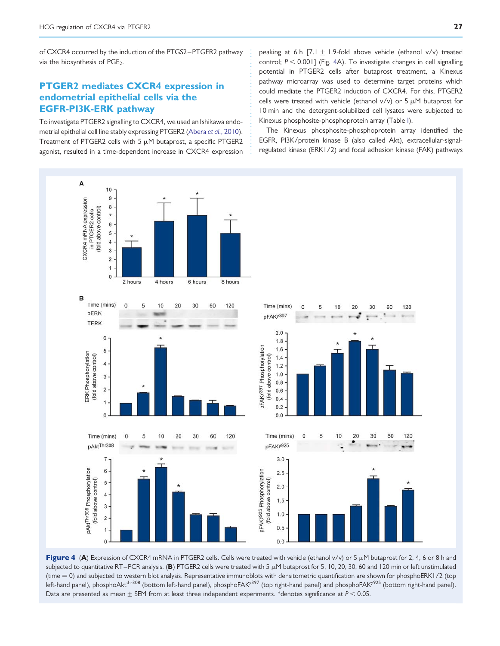<span id="page-6-0"></span>of CXCR4 occurred by the induction of the PTGS2 –PTGER2 pathway via the biosynthesis of PGE<sub>2</sub>.

# PTGER2 mediates CXCR4 expression in endometrial epithelial cells via the EGFR-PI3K-ERK pathway

To investigate PTGER2 signalling to CXCR4, we used an Ishikawa endometrial epithelial cell line stably expressing PTGER2 (Abera et al[., 2010\)](#page-9-0). Treatment of PTGER2 cells with 5  $\mu$ M butaprost, a specific PTGER2 agonist, resulted in a time-dependent increase in CXCR4 expression peaking at 6 h  $[7.1 + 1.9$ -fold above vehicle (ethanol v/v) treated control;  $P < 0.001$ ] (Fig. 4A). To investigate changes in cell signalling potential in PTGER2 cells after butaprost treatment, a Kinexus pathway microarray was used to determine target proteins which could mediate the PTGER2 induction of CXCR4. For this, PTGER2 cells were treated with vehicle (ethanol  $v/v$ ) or 5  $\mu$ M butaprost for 10 min and the detergent-solubilized cell lysates were subjected to Kinexus phosphosite-phosphoprotein array (Table [I\)](#page-7-0).

The Kinexus phosphosite-phosphoprotein array identified the EGFR, PI3K/protein kinase B (also called Akt), extracellular-signalregulated kinase (ERK1/2) and focal adhesion kinase (FAK) pathways



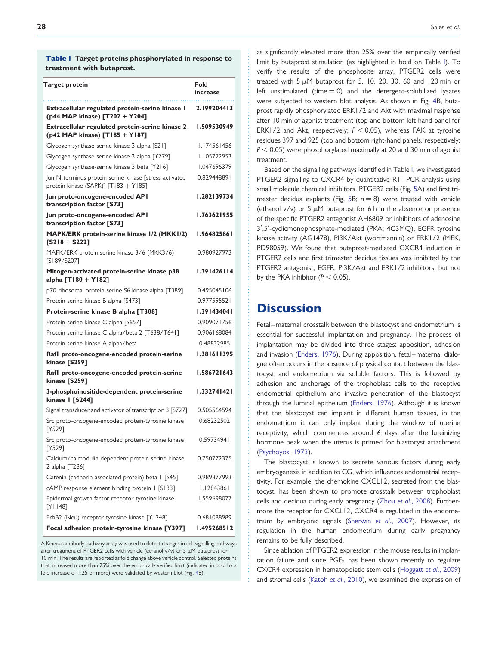<span id="page-7-0"></span>Table I Target proteins phosphorylated in response to treatment with butaprost.

| Target protein                                                                                 | Fold<br>increase |
|------------------------------------------------------------------------------------------------|------------------|
| Extracellular regulated protein-serine kinase I<br>(p44 MAP kinase) [T202 + Y204]              | 2.199204413      |
| Extracellular regulated protein-serine kinase 2<br>(p42 MAP kinase) [T185 + Y187]              | 1.509530949      |
| Glycogen synthase-serine kinase 3 alpha [S21]                                                  | 1.174561456      |
| Glycogen synthase-serine kinase 3 alpha [Y279]                                                 | 1.105722953      |
| Glycogen synthase-serine kinase 3 beta [Y216]                                                  | 1.047696379      |
| Jun N-terminus protein-serine kinase [stress-activated<br>protein kinase (SAPK)] [T183 + Y185] | 0.829448891      |
| Jun proto-oncogene-encoded API<br>transcription factor [S73]                                   | 1.282139734      |
| Jun proto-oncogene-encoded API<br>transcription factor [S73]                                   | 1.763621955      |
| MAPK/ERK protein-serine kinase 1/2 (MKK1/2)<br>$[S218 + S222]$                                 | 1.964825861      |
| MAPK/ERK protein-serine kinase 3/6 (MKK3/6)<br>[S189/S207]                                     | 0.980927973      |
| Mitogen-activated protein-serine kinase p38<br>alpha [T180 + Y182]                             | 1.391426114      |
| p70 ribosomal protein-serine S6 kinase alpha [T389]                                            | 0.495045106      |
| Protein-serine kinase B alpha [S473]                                                           | 0.977595521      |
| Protein-serine kinase B alpha [T308]                                                           | 1.391434041      |
| Protein-serine kinase C alpha [S657]                                                           | 0.909071756      |
| Protein-serine kinase C alpha/beta 2 [T638/T641]                                               | 0.906168084      |
| Protein-serine kinase A alpha/beta                                                             | 0.48832985       |
| Rafl proto-oncogene-encoded protein-serine<br>kinase [S259]                                    | 1.381611395      |
| Rafl proto-oncogene-encoded protein-serine<br>kinase [S259]                                    | 1.586721643      |
| 3-phosphoinositide-dependent protein-serine<br>kinase   [S244]                                 | 1.332741421      |
| Signal transducer and activator of transcription 3 [S727]                                      | 0.505564594      |
| Src proto-oncogene-encoded protein-tyrosine kinase<br>[Y529]                                   | 0.68232502       |
| Src proto-oncogene-encoded protein-tyrosine kinase<br>[Y529]                                   | 0.59734941       |
| Calcium/calmodulin-dependent protein-serine kinase<br>2 alpha [T286]                           | 0.750772375      |
| Catenin (cadherin-associated protein) beta I [S45]                                             | 0.989877993      |
| cAMP response element binding protein 1 [S133]                                                 | I.I2843861       |
| Epidermal growth factor receptor-tyrosine kinase<br>[Y1148]                                    | 1.559698077      |
| ErbB2 (Neu) receptor-tyrosine kinase [Y1248]                                                   | 0.681088989      |
| Focal adhesion protein-tyrosine kinase [Y397]                                                  | 1.495268512      |

A Kinexus antibody pathway array was used to detect changes in cell signalling pathways after treatment of PTGER2 cells with vehicle (ethanol v/v) or 5  $\mu$ M butaprost for 10 min. The results are reported as fold change above vehicle control. Selected proteins that increased more than 25% over the empirically verified limit (indicated in bold by a fold increase of 1.25 or more) were validated by western blot (Fig. [4](#page-6-0)B).

as significantly elevated more than 25% over the empirically verified limit by butaprost stimulation (as highlighted in bold on Table I). To verify the results of the phosphosite array, PTGER2 cells were treated with  $5 \mu$ M butaprost for 5, 10, 20, 30, 60 and 120 min or left unstimulated (time  $= 0$ ) and the detergent-solubilized lysates were subjected to western blot analysis. As shown in Fig. [4B](#page-6-0), butaprost rapidly phosphorylated ERK1/2 and Akt with maximal response after 10 min of agonist treatment (top and bottom left-hand panel for ERK1/2 and Akt, respectively;  $P < 0.05$ ), whereas FAK at tyrosine residues 397 and 925 (top and bottom right-hand panels, respectively;  $P < 0.05$ ) were phosphorylated maximally at 20 and 30 min of agonist treatment.

Based on the signalling pathways identified in Table I, we investigated PTGER2 signalling to CXCR4 by quantitative RT –PCR analysis using small molecule chemical inhibitors. PTGER2 cells (Fig. [5](#page-8-0)A) and first tri-mester decidua explants (Fig. [5](#page-8-0)B;  $n = 8$ ) were treated with vehicle (ethanol  $v/v$ ) or 5  $\mu$ M butaprost for 6 h in the absence or presence of the specific PTGER2 antagonist AH6809 or inhibitors of adenosine 3′ ,5′ -cyclicmonophosphate-mediated (PKA; 4C3MQ), EGFR tyrosine kinase activity (AG1478), PI3K/Akt (wortmannin) or ERK1/2 (MEK, PD98059). We found that butaprost-mediated CXCR4 induction in PTGER2 cells and first trimester decidua tissues was inhibited by the PTGER2 antagonist, EGFR, PI3K/Akt and ERK1/2 inhibitors, but not by the PKA inhibitor ( $P < 0.05$ ).

# **Discussion**

Fetal-maternal crosstalk between the blastocyst and endometrium is essential for successful implantation and pregnancy. The process of implantation may be divided into three stages: apposition, adhesion and invasion ([Enders, 1976\)](#page-9-0). During apposition, fetal-maternal dialogue often occurs in the absence of physical contact between the blastocyst and endometrium via soluble factors. This is followed by adhesion and anchorage of the trophoblast cells to the receptive endometrial epithelium and invasive penetration of the blastocyst through the luminal epithelium [\(Enders, 1976\)](#page-9-0). Although it is known that the blastocyst can implant in different human tissues, in the endometrium it can only implant during the window of uterine receptivity, which commences around 6 days after the luteinizing hormone peak when the uterus is primed for blastocyst attachment ([Psychoyos, 1973\)](#page-10-0).

The blastocyst is known to secrete various factors during early embryogenesis in addition to CG, which influences endometrial receptivity. For example, the chemokine CXCL12, secreted from the blastocyst, has been shown to promote crosstalk between trophoblast cells and decidua during early pregnancy (Zhou et al[., 2008](#page-11-0)). Furthermore the receptor for CXCL12, CXCR4 is regulated in the endome-trium by embryonic signals [\(Sherwin](#page-10-0) et al., 2007). However, its regulation in the human endometrium during early pregnancy remains to be fully described.

Since ablation of PTGER2 expression in the mouse results in implantation failure and since  $PGE_2$  has been shown recently to regulate CXCR4 expression in hematopoietic stem cells [\(Hoggatt](#page-10-0) et al., 2009) and stromal cells (Katoh et al[., 2010](#page-10-0)), we examined the expression of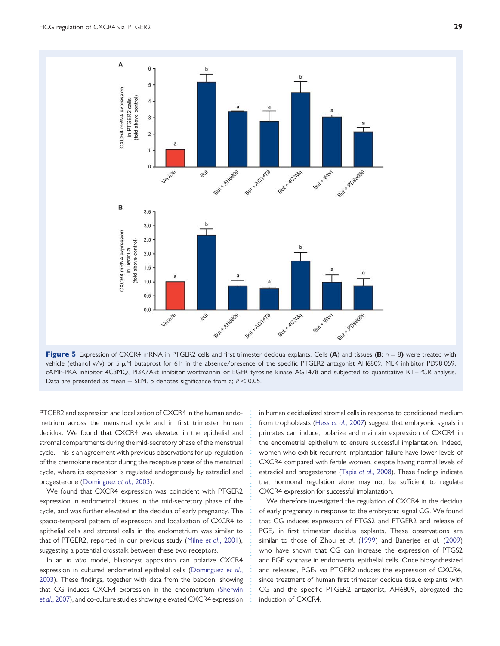<span id="page-8-0"></span>

Figure 5 Expression of CXCR4 mRNA in PTGER2 cells and first trimester decidua explants. Cells (A) and tissues (B;  $n = 8$ ) were treated with vehicle (ethanol v/v) or 5  $\mu$ M butaprost for 6 h in the absence/presence of the specific PTGER2 antagonist AH6809, MEK inhibitor PD98 059, cAMP-PKA inhibitor 4C3MQ, PI3K/Akt inhibitor wortmannin or EGFR tyrosine kinase AG1478 and subjected to quantitative RT –PCR analysis. Data are presented as mean  $\pm$  SEM. b denotes significance from a; P < 0.05.

PTGER2 and expression and localization of CXCR4 in the human endometrium across the menstrual cycle and in first trimester human decidua. We found that CXCR4 was elevated in the epithelial and stromal compartments during the mid-secretory phase of the menstrual cycle. This is an agreement with previous observations for up-regulation of this chemokine receptor during the receptive phase of the menstrual cycle, where its expression is regulated endogenously by estradiol and progesterone [\(Dominguez](#page-9-0) et al., 2003).

We found that CXCR4 expression was coincident with PTGER2 expression in endometrial tissues in the mid-secretory phase of the cycle, and was further elevated in the decidua of early pregnancy. The spacio-temporal pattern of expression and localization of CXCR4 to epithelial cells and stromal cells in the endometrium was similar to that of PTGER2, reported in our previous study (Milne et al[., 2001\)](#page-10-0), suggesting a potential crosstalk between these two receptors.

In an in vitro model, blastocyst apposition can polarize CXCR4 expression in cultured endometrial epithelial cells ([Dominguez](#page-9-0) et al., [2003\)](#page-9-0). These findings, together with data from the baboon, showing that CG induces CXCR4 expression in the endometrium ([Sherwin](#page-10-0) et al[., 2007](#page-10-0)), and co-culture studies showing elevated CXCR4 expression

in human decidualized stromal cells in response to conditioned medium from trophoblasts (Hess et al[., 2007](#page-10-0)) suggest that embryonic signals in primates can induce, polarize and maintain expression of CXCR4 in the endometrial epithelium to ensure successful implantation. Indeed, women who exhibit recurrent implantation failure have lower levels of CXCR4 compared with fertile women, despite having normal levels of estradiol and progesterone (Tapia et al[., 2008](#page-10-0)). These findings indicate that hormonal regulation alone may not be sufficient to regulate CXCR4 expression for successful implantation.

We therefore investigated the regulation of CXCR4 in the decidua of early pregnancy in response to the embryonic signal CG. We found that CG induces expression of PTGS2 and PTGER2 and release of  $PGE<sub>2</sub>$  in first trimester decidua explants. These observations are similar to those of Zhou et al. [\(1999](#page-11-0)) and Banerjee et al. [\(2009](#page-9-0)) who have shown that CG can increase the expression of PTGS2 and PGE synthase in endometrial epithelial cells. Once biosynthesized and released, PGE<sub>2</sub> via PTGER2 induces the expression of CXCR4, since treatment of human first trimester decidua tissue explants with CG and the specific PTGER2 antagonist, AH6809, abrogated the induction of CXCR4.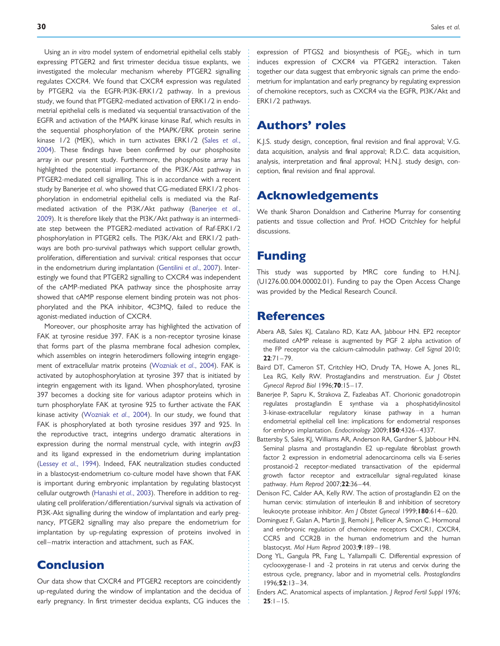<span id="page-9-0"></span>Using an in vitro model system of endometrial epithelial cells stably expressing PTGER2 and first trimester decidua tissue explants, we investigated the molecular mechanism whereby PTGER2 signalling regulates CXCR4. We found that CXCR4 expression was regulated by PTGER2 via the EGFR-PI3K-ERK1/2 pathway. In a previous study, we found that PTGER2-mediated activation of ERK1/2 in endometrial epithelial cells is mediated via sequential transactivation of the EGFR and activation of the MAPK kinase kinase Raf, which results in the sequential phosphorylation of the MAPK/ERK protein serine kinase 1/2 (MEK), which in turn activates ERK1/2 [\(Sales](#page-10-0) et al., [2004](#page-10-0)). These findings have been confirmed by our phosphosite array in our present study. Furthermore, the phosphosite array has highlighted the potential importance of the PI3K/Akt pathway in PTGER2-mediated cell signalling. This is in accordance with a recent study by Banerjee et al. who showed that CG-mediated ERK1/2 phosphorylation in endometrial epithelial cells is mediated via the Rafmediated activation of the PI3K/Akt pathway (Banerjee et al., 2009). It is therefore likely that the PI3K/Akt pathway is an intermediate step between the PTGER2-mediated activation of Raf-ERK1/2 phosphorylation in PTGER2 cells. The PI3K/Akt and ERK1/2 pathways are both pro-survival pathways which support cellular growth, proliferation, differentiation and survival: critical responses that occur in the endometrium during implantation ([Gentilini](#page-10-0) et al., 2007). Interestingly we found that PTGER2 signalling to CXCR4 was independent of the cAMP-mediated PKA pathway since the phosphosite array showed that cAMP response element binding protein was not phosphorylated and the PKA inhibitor, 4C3MQ, failed to reduce the agonist-mediated induction of CXCR4.

Moreover, our phosphosite array has highlighted the activation of FAK at tyrosine residue 397. FAK is a non-receptor tyrosine kinase that forms part of the plasma membrane focal adhesion complex, which assembles on integrin heterodimers following integrin engagement of extracellular matrix proteins ([Wozniak](#page-11-0) et al., 2004). FAK is activated by autophosphorylation at tyrosine 397 that is initiated by integrin engagement with its ligand. When phosphorylated, tyrosine 397 becomes a docking site for various adaptor proteins which in turn phosphorylate FAK at tyrosine 925 to further activate the FAK kinase activity ([Wozniak](#page-11-0) et al., 2004). In our study, we found that FAK is phosphorylated at both tyrosine residues 397 and 925. In the reproductive tract, integrins undergo dramatic alterations in expression during the normal menstrual cycle, with integrin  $\alpha \gamma \beta 3$ and its ligand expressed in the endometrium during implantation (Lessey et al[., 1994](#page-10-0)). Indeed, FAK neutralization studies conducted in a blastocyst-endometrium co-culture model have shown that FAK is important during embryonic implantation by regulating blastocyst cellular outgrowth [\(Hanashi](#page-10-0) et al., 2003). Therefore in addition to regulating cell proliferation/differentiation/survival signals via activation of PI3K-Akt signalling during the window of implantation and early pregnancy, PTGER2 signalling may also prepare the endometrium for implantation by up-regulating expression of proteins involved in cell–matrix interaction and attachment, such as FAK.

# Conclusion

Our data show that CXCR4 and PTGER2 receptors are coincidently up-regulated during the window of implantation and the decidua of early pregnancy. In first trimester decidua explants, CG induces the expression of PTGS2 and biosynthesis of  $PGE_2$ , which in turn induces expression of CXCR4 via PTGER2 interaction. Taken together our data suggest that embryonic signals can prime the endometrium for implantation and early pregnancy by regulating expression of chemokine receptors, such as CXCR4 via the EGFR, PI3K/Akt and ERK1/2 pathways.

# Authors' roles

K.J.S. study design, conception, final revision and final approval; V.G. data acquisition, analysis and final approval; R.D.C. data acquisition, analysis, interpretation and final approval; H.N.J. study design, conception, final revision and final approval.

# Acknowledgements

We thank Sharon Donaldson and Catherine Murray for consenting patients and tissue collection and Prof. HOD Critchley for helpful discussions.

# Funding

This study was supported by MRC core funding to H.N.J. (U1276.00.004.00002.01). Funding to pay the Open Access Change was provided by the Medical Research Council.

# References

- Abera AB, Sales KJ, Catalano RD, Katz AA, Jabbour HN. EP2 receptor mediated cAMP release is augmented by PGF 2 alpha activation of the FP receptor via the calcium-calmodulin pathway. Cell Signal 2010;  $22:71 - 79$ .
- Baird DT, Cameron ST, Critchley HO, Drudy TA, Howe A, Jones RL, Lea RG, Kelly RW. Prostaglandins and menstruation. Eur J Obstet Gynecol Reprod Biol 1996;70:15– 17.
- Banerjee P, Sapru K, Strakova Z, Fazleabas AT. Chorionic gonadotropin regulates prostaglandin E synthase via a phosphatidylinositol 3-kinase-extracellular regulatory kinase pathway in a human endometrial epithelial cell line: implications for endometrial responses for embryo implantation. Endocrinology 2009; 150:4326-4337.
- Battersby S, Sales KJ, Williams AR, Anderson RA, Gardner S, Jabbour HN. Seminal plasma and prostaglandin E2 up-regulate fibroblast growth factor 2 expression in endometrial adenocarcinoma cells via E-series prostanoid-2 receptor-mediated transactivation of the epidermal growth factor receptor and extracellular signal-regulated kinase pathway. Hum Reprod 2007;22:36 –44.
- Denison FC, Calder AA, Kelly RW. The action of prostaglandin E2 on the human cervix: stimulation of interleukin 8 and inhibition of secretory leukocyte protease inhibitor. Am J Obstet Gynecol 1999;180:614-620.
- Dominguez F, Galan A, Martin JJ, Remohi J, Pellicer A, Simon C. Hormonal and embryonic regulation of chemokine receptors CXCR1, CXCR4, CCR5 and CCR2B in the human endometrium and the human blastocyst. Mol Hum Reprod 2003;9:189-198.
- Dong YL, Gangula PR, Fang L, Yallampalli C. Differential expression of cyclooxygenase-1 and -2 proteins in rat uterus and cervix during the estrous cycle, pregnancy, labor and in myometrial cells. Prostaglandins 1996;52:13 – 34.
- Enders AC. Anatomical aspects of implantation. J Reprod Fertil Suppl 1976;  $25:1 - 15.$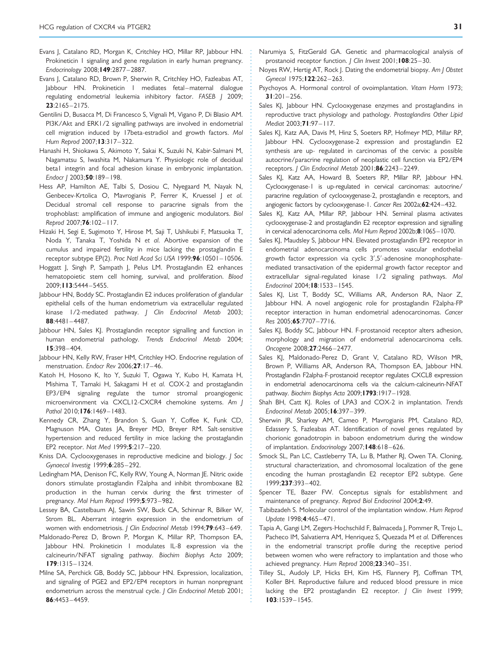- <span id="page-10-0"></span>Evans I, Catalano RD, Morgan K, Critchley HO, Millar RP, Jabbour HN, Prokineticin I signaling and gene regulation in early human pregnancy. Endocrinology 2008;149:2877 – 2887.
- Evans J, Catalano RD, Brown P, Sherwin R, Critchley HO, Fazleabas AT, Jabbour HN. Prokineticin I mediates fetal-maternal dialogue regulating endometrial leukemia inhibitory factor. FASEB J 2009;  $23:2165 - 2175$ .
- Gentilini D, Busacca M, Di Francesco S, Vignali M, Vigano P, Di Blasio AM. PI3K/Akt and ERK1/2 signalling pathways are involved in endometrial cell migration induced by 17beta-estradiol and growth factors. Mol Hum Reprod 2007;13:317-322.
- Hanashi H, Shiokawa S, Akimoto Y, Sakai K, Suzuki N, Kabir-Salmani M, Nagamatsu S, Iwashita M, Nakamura Y. Physiologic role of decidual beta1 integrin and focal adhesion kinase in embryonic implantation. Endocr J 2003;50:189-198.
- Hess AP, Hamilton AE, Talbi S, Dosiou C, Nyegaard M, Nayak N, Genbecev-Krtolica O, Mavrogianis P, Ferrer K, Kruessel J et al. Decidual stromal cell response to paracrine signals from the trophoblast: amplification of immune and angiogenic modulators. Biol Reprod 2007;76:102– 117.
- Hizaki H, Segi E, Sugimoto Y, Hirose M, Saji T, Ushikubi F, Matsuoka T, Noda Y, Tanaka T, Yoshida N et al. Abortive expansion of the cumulus and impaired fertility in mice lacking the prostaglandin E receptor subtype EP(2). Proc Natl Acad Sci USA 1999;96:10501– 10506.
- Hoggatt J, Singh P, Sampath J, Pelus LM. Prostaglandin E2 enhances hematopoietic stem cell homing, survival, and proliferation. Blood 2009;113:5444 – 5455.
- Jabbour HN, Boddy SC. Prostaglandin E2 induces proliferation of glandular epithelial cells of the human endometrium via extracellular regulated kinase 1/2-mediated pathway. J Clin Endocrinol Metab 2003; 88:4481– 4487.
- Jabbour HN, Sales KJ. Prostaglandin receptor signalling and function in human endometrial pathology. Trends Endocrinol Metab 2004; 15:398– 404.
- Jabbour HN, Kelly RW, Fraser HM, Critchley HO. Endocrine regulation of menstruation. Endocr Rev 2006;27:17-46.
- Katoh H, Hosono K, Ito Y, Suzuki T, Ogawa Y, Kubo H, Kamata H, Mishima T, Tamaki H, Sakagami H et al. COX-2 and prostaglandin EP3/EP4 signaling regulate the tumor stromal proangiogenic microenvironment via CXCL12-CXCR4 chemokine systems. Am J Pathol 2010;176:1469-1483.
- Kennedy CR, Zhang Y, Brandon S, Guan Y, Coffee K, Funk CD, Magnuson MA, Oates JA, Breyer MD, Breyer RM. Salt-sensitive hypertension and reduced fertility in mice lacking the prostaglandin EP2 receptor. Nat Med 1999;5:217 – 220.
- Kniss DA. Cyclooxygenases in reproductive medicine and biology. J Soc Gynaecol Investig 1999;6:285 –292.
- Ledingham MA, Denison FC, Kelly RW, Young A, Norman JE. Nitric oxide donors stimulate prostaglandin F2alpha and inhibit thromboxane B2 production in the human cervix during the first trimester of pregnancy. Mol Hum Reprod 1999;5:973-982.
- Lessey BA, Castelbaum AJ, Sawin SW, Buck CA, Schinnar R, Bilker W, Strom BL. Aberrant integrin expression in the endometrium of women with endometriosis. J Clin Endocrinol Metab 1994;79:643-649.
- Maldonado-Perez D, Brown P, Morgan K, Millar RP, Thompson EA, Jabbour HN. Prokineticin 1 modulates IL-8 expression via the calcineurin/NFAT signaling pathway. Biochim Biophys Acta 2009; 179:1315– 1324.
- Milne SA, Perchick GB, Boddy SC, Jabbour HN. Expression, localization, and signaling of PGE2 and EP2/EP4 receptors in human nonpregnant endometrium across the menstrual cycle. J Clin Endocrinol Metab 2001; 86:4453– 4459.
- Narumiya S, FitzGerald GA. Genetic and pharmacological analysis of prostanoid receptor function. *| Clin Invest* 2001;108:25-30.
- Noyes RW, Hertig AT, Rock J. Dating the endometrial biopsy. Am J Obstet Gynecol 1975; 122:262-263.
- Psychoyos A. Hormonal control of ovoimplantation. Vitam Horm 1973;  $31:201 - 256$ .
- Sales KJ, Jabbour HN. Cyclooxygenase enzymes and prostaglandins in reproductive tract physiology and pathology. Prostaglandins Other Lipid Mediat 2003;71:97-117.
- Sales KJ, Katz AA, Davis M, Hinz S, Soeters RP, Hofmeyr MD, Millar RP, Jabbour HN. Cyclooxygenase-2 expression and prostaglandin E2 synthesis are up- regulated in carcinomas of the cervix: a possible autocrine/paracrine regulation of neoplastic cell function via EP2/EP4 receptors. J Clin Endocrinol Metab 2001;86:2243 – 2249.
- Sales KJ, Katz AA, Howard B, Soeters RP, Millar RP, Jabbour HN. Cyclooxygenase-1 is up-regulated in cervical carcinomas: autocrine/ paracrine regulation of cyclooxygenase-2, prostaglandin e receptors, and angiogenic factors by cyclooxygenase-1. Cancer Res 2002a;62:424–432.
- Sales KJ, Katz AA, Millar RP, Jabbour HN. Seminal plasma activates cyclooxygenase-2 and prostaglandin E2 receptor expression and signalling in cervical adenocarcinoma cells. Mol Hum Reprod 2002b;8:1065–1070.
- Sales KJ, Maudsley S, Jabbour HN. Elevated prostaglandin EP2 receptor in endometrial adenocarcinoma cells promotes vascular endothelial growth factor expression via cyclic 3′ ,5′ -adenosine monophosphatemediated transactivation of the epidermal growth factor receptor and extracellular signal-regulated kinase 1/2 signaling pathways. Mol Endocrinol 2004;18:1533 – 1545.
- Sales KJ, List T, Boddy SC, Williams AR, Anderson RA, Naor Z, Jabbour HN. A novel angiogenic role for prostaglandin F2alpha-FP receptor interaction in human endometrial adenocarcinomas. Cancer Res 2005;65:7707– 7716.
- Sales KJ, Boddy SC, Jabbour HN. F-prostanoid receptor alters adhesion, morphology and migration of endometrial adenocarcinoma cells. Oncogene 2008;27:2466 – 2477.
- Sales KJ, Maldonado-Perez D, Grant V, Catalano RD, Wilson MR, Brown P, Williams AR, Anderson RA, Thompson EA, Jabbour HN. Prostaglandin F2alpha-F-prostanoid receptor regulates CXCL8 expression in endometrial adenocarcinoma cells via the calcium-calcineurin-NFAT pathway. Biochim Biophys Acta 2009;1793:1917–1928.
- Shah BH, Catt KJ. Roles of LPA3 and COX-2 in implantation. Trends Endocrinol Metab 2005; **16**:397-399.
- Sherwin JR, Sharkey AM, Cameo P, Mavrogianis PM, Catalano RD, Edassery S, Fazleabas AT. Identification of novel genes regulated by chorionic gonadotropin in baboon endometrium during the window of implantation. Endocrinology 2007; 148:618-626.
- Smock SL, Pan LC, Castleberry TA, Lu B, Mather RJ, Owen TA. Cloning, structural characterization, and chromosomal localization of the gene encoding the human prostaglandin E2 receptor EP2 subtype. Gene 1999;237:393 – 402.
- Spencer TE, Bazer FW. Conceptus signals for establishment and maintenance of pregnancy. Reprod Biol Endocrinol 2004;2:49.
- Tabibzadeh S. Molecular control of the implantation window. Hum Reprod Update 1998;4:465-471.
- Tapia A, Gangi LM, Zegers-Hochschild F, Balmaceda J, Pommer R, Trejo L, Pacheco IM, Salvatierra AM, Henriquez S, Quezada M et al. Differences in the endometrial transcript profile during the receptive period between women who were refractory to implantation and those who achieved pregnancy. Hum Reprod 2008;23:340-351.
- Tilley SL, Audoly LP, Hicks EH, Kim HS, Flannery PJ, Coffman TM, Koller BH. Reproductive failure and reduced blood pressure in mice lacking the EP2 prostaglandin E2 receptor. J Clin Invest 1999; 103:1539– 1545.